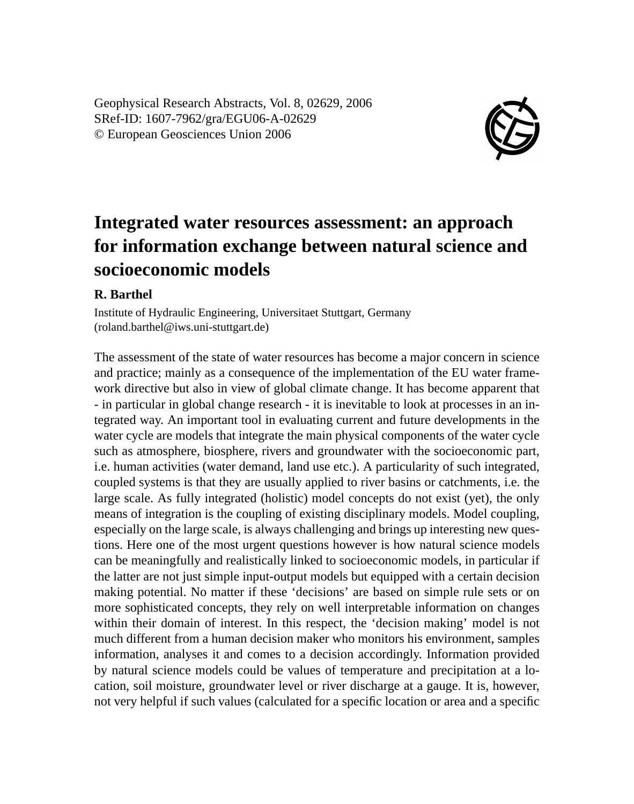Geophysical Research Abstracts, Vol. 8, 02629, 2006 SRef-ID: 1607-7962/gra/EGU06-A-02629 © European Geosciences Union 2006



## **Integrated water resources assessment: an approach for information exchange between natural science and socioeconomic models**

## **R. Barthel**

Institute of Hydraulic Engineering, Universitaet Stuttgart, Germany (roland.barthel@iws.uni-stuttgart.de)

The assessment of the state of water resources has become a major concern in science and practice; mainly as a consequence of the implementation of the EU water framework directive but also in view of global climate change. It has become apparent that - in particular in global change research - it is inevitable to look at processes in an integrated way. An important tool in evaluating current and future developments in the water cycle are models that integrate the main physical components of the water cycle such as atmosphere, biosphere, rivers and groundwater with the socioeconomic part, i.e. human activities (water demand, land use etc.). A particularity of such integrated, coupled systems is that they are usually applied to river basins or catchments, i.e. the large scale. As fully integrated (holistic) model concepts do not exist (yet), the only means of integration is the coupling of existing disciplinary models. Model coupling, especially on the large scale, is always challenging and brings up interesting new questions. Here one of the most urgent questions however is how natural science models can be meaningfully and realistically linked to socioeconomic models, in particular if the latter are not just simple input-output models but equipped with a certain decision making potential. No matter if these 'decisions' are based on simple rule sets or on more sophisticated concepts, they rely on well interpretable information on changes within their domain of interest. In this respect, the 'decision making' model is not much different from a human decision maker who monitors his environment, samples information, analyses it and comes to a decision accordingly. Information provided by natural science models could be values of temperature and precipitation at a location, soil moisture, groundwater level or river discharge at a gauge. It is, however, not very helpful if such values (calculated for a specific location or area and a specific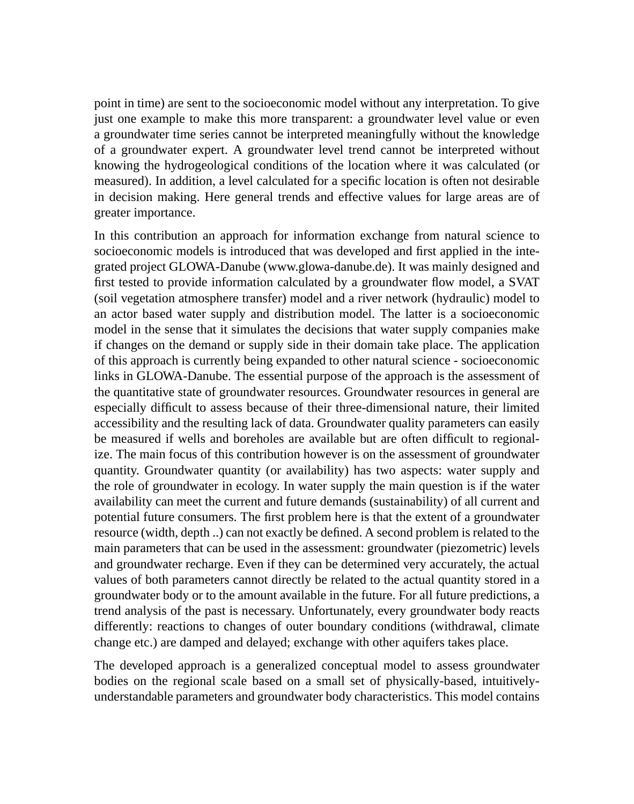point in time) are sent to the socioeconomic model without any interpretation. To give just one example to make this more transparent: a groundwater level value or even a groundwater time series cannot be interpreted meaningfully without the knowledge of a groundwater expert. A groundwater level trend cannot be interpreted without knowing the hydrogeological conditions of the location where it was calculated (or measured). In addition, a level calculated for a specific location is often not desirable in decision making. Here general trends and effective values for large areas are of greater importance.

In this contribution an approach for information exchange from natural science to socioeconomic models is introduced that was developed and first applied in the integrated project GLOWA-Danube (www.glowa-danube.de). It was mainly designed and first tested to provide information calculated by a groundwater flow model, a SVAT (soil vegetation atmosphere transfer) model and a river network (hydraulic) model to an actor based water supply and distribution model. The latter is a socioeconomic model in the sense that it simulates the decisions that water supply companies make if changes on the demand or supply side in their domain take place. The application of this approach is currently being expanded to other natural science - socioeconomic links in GLOWA-Danube. The essential purpose of the approach is the assessment of the quantitative state of groundwater resources. Groundwater resources in general are especially difficult to assess because of their three-dimensional nature, their limited accessibility and the resulting lack of data. Groundwater quality parameters can easily be measured if wells and boreholes are available but are often difficult to regionalize. The main focus of this contribution however is on the assessment of groundwater quantity. Groundwater quantity (or availability) has two aspects: water supply and the role of groundwater in ecology. In water supply the main question is if the water availability can meet the current and future demands (sustainability) of all current and potential future consumers. The first problem here is that the extent of a groundwater resource (width, depth ..) can not exactly be defined. A second problem is related to the main parameters that can be used in the assessment: groundwater (piezometric) levels and groundwater recharge. Even if they can be determined very accurately, the actual values of both parameters cannot directly be related to the actual quantity stored in a groundwater body or to the amount available in the future. For all future predictions, a trend analysis of the past is necessary. Unfortunately, every groundwater body reacts differently: reactions to changes of outer boundary conditions (withdrawal, climate change etc.) are damped and delayed; exchange with other aquifers takes place.

The developed approach is a generalized conceptual model to assess groundwater bodies on the regional scale based on a small set of physically-based, intuitivelyunderstandable parameters and groundwater body characteristics. This model contains